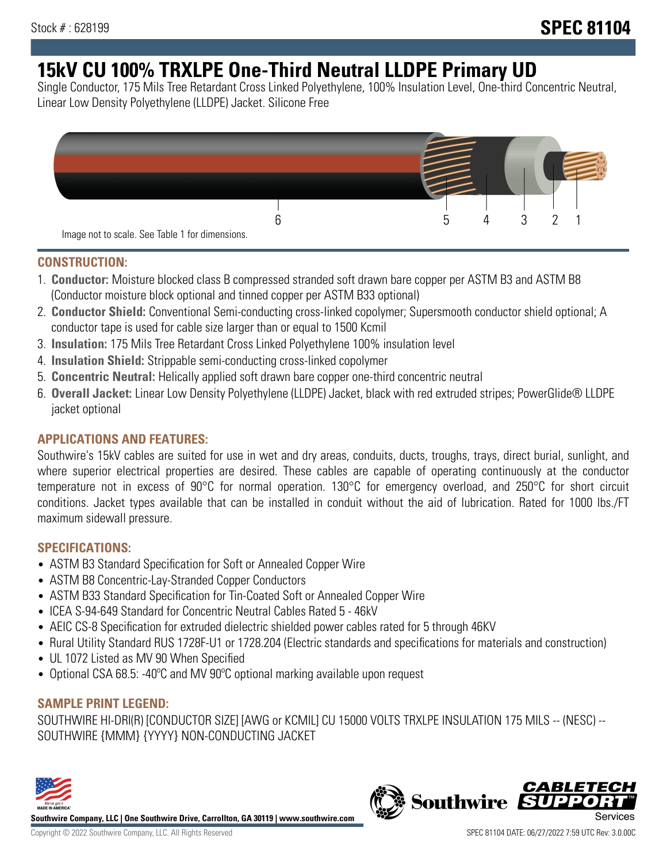# **15kV CU 100% TRXLPE One-Third Neutral LLDPE Primary UD**

Single Conductor, 175 Mils Tree Retardant Cross Linked Polyethylene, 100% Insulation Level, One-third Concentric Neutral, Linear Low Density Polyethylene (LLDPE) Jacket. Silicone Free



### **CONSTRUCTION:**

- 1. **Conductor:** Moisture blocked class B compressed stranded soft drawn bare copper per ASTM B3 and ASTM B8 (Conductor moisture block optional and tinned copper per ASTM B33 optional)
- 2. **Conductor Shield:** Conventional Semi-conducting cross-linked copolymer; Supersmooth conductor shield optional; A conductor tape is used for cable size larger than or equal to 1500 Kcmil
- 3. **Insulation:** 175 Mils Tree Retardant Cross Linked Polyethylene 100% insulation level
- 4. **Insulation Shield:** Strippable semi-conducting cross-linked copolymer
- 5. **Concentric Neutral:** Helically applied soft drawn bare copper one-third concentric neutral
- 6. **Overall Jacket:** Linear Low Density Polyethylene (LLDPE) Jacket, black with red extruded stripes; PowerGlide® LLDPE jacket optional

## **APPLICATIONS AND FEATURES:**

Southwire's 15kV cables are suited for use in wet and dry areas, conduits, ducts, troughs, trays, direct burial, sunlight, and where superior electrical properties are desired. These cables are capable of operating continuously at the conductor temperature not in excess of 90°C for normal operation. 130°C for emergency overload, and 250°C for short circuit conditions. Jacket types available that can be installed in conduit without the aid of lubrication. Rated for 1000 lbs./FT maximum sidewall pressure.

## **SPECIFICATIONS:**

- ASTM B3 Standard Specification for Soft or Annealed Copper Wire
- ASTM B8 Concentric-Lay-Stranded Copper Conductors
- ASTM B33 Standard Specification for Tin-Coated Soft or Annealed Copper Wire
- ICEA S-94-649 Standard for Concentric Neutral Cables Rated 5 46kV
- AEIC CS-8 Specification for extruded dielectric shielded power cables rated for 5 through 46KV
- Rural Utility Standard RUS 1728F-U1 or 1728.204 (Electric standards and specifications for materials and construction)
- UL 1072 Listed as MV 90 When Specified
- Optional CSA 68.5: -40ºC and MV 90ºC optional marking available upon request

## **SAMPLE PRINT LEGEND:**

SOUTHWIRE HI-DRI(R) [CONDUCTOR SIZE] [AWG or KCMIL] CU 15000 VOLTS TRXLPE INSULATION 175 MILS -- (NESC) -- SOUTHWIRE {MMM} {YYYY} NON-CONDUCTING JACKET



**Southwire Company, LLC | One Southwire Drive, Carrollton, GA 30119 | www.southwire.com**

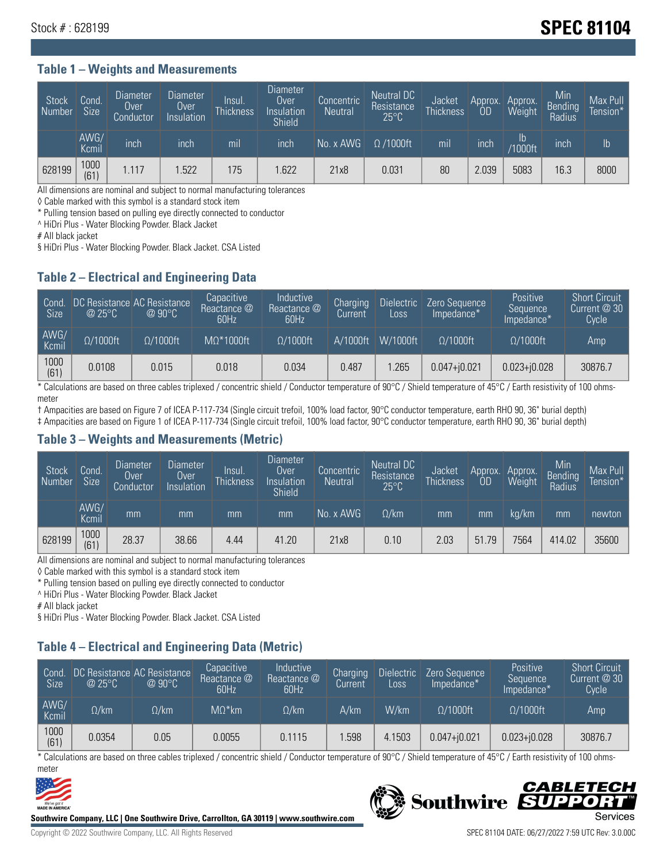# Stock # : 628199 **SPEC 81104**

#### **Table 1 – Weights and Measurements**

| Stock<br>  Number | Cond.<br><b>Size</b> | <b>Diameter</b><br>Over<br>Conductor | <b>Diameter</b><br>Over<br>Insulation | lnsul.<br>Thickness | <b>Diameter</b><br>Over.<br>Insulation<br><b>Shield</b> | Concentric<br><b>Neutral</b> | Neutral DC<br>Resistance<br>$25^{\circ}$ C | <b>Jacket</b><br><b>Thickness</b> | Approx.<br>OD | Approx.<br>Weight    | Min<br><b>Bending</b><br>Radius | Max Pull<br>Tension* <sup>1</sup> |
|-------------------|----------------------|--------------------------------------|---------------------------------------|---------------------|---------------------------------------------------------|------------------------------|--------------------------------------------|-----------------------------------|---------------|----------------------|---------------------------------|-----------------------------------|
|                   | AWG/<br>Kcmil        | inch                                 | inch                                  | mil                 | inch                                                    | No. x AWG                    | $\Omega$ /1000ft                           | mil                               | inch          | Ib<br><b>Y1000ft</b> | inch                            | $\mathsf{lb}$                     |
| 628199            | 1000<br>(61)         | 1.117                                | .522                                  | 175                 | .622                                                    | 21x8                         | 0.031                                      | 80                                | 2.039         | 5083                 | 16.3                            | 8000                              |

All dimensions are nominal and subject to normal manufacturing tolerances

◊ Cable marked with this symbol is a standard stock item

\* Pulling tension based on pulling eye directly connected to conductor

^ HiDri Plus - Water Blocking Powder. Black Jacket

# All black jacket

§ HiDri Plus - Water Blocking Powder. Black Jacket. CSA Listed

### **Table 2 – Electrical and Engineering Data**

| Cond.<br>Size | $\omega$ 25°C    | DC Resistance AC Resistance<br>$@90^{\circ}C$ | Capacitive<br>Reactance @<br>60Hz | Inductive<br>Reactance @<br>60Hz | Charging<br>Current | Dielectric<br>Loss | Zero Sequence<br>Impedance* | Positive<br>Sequence<br>Impedance* | <b>Short Circuit</b><br>Current $@30"$<br>Cycle |
|---------------|------------------|-----------------------------------------------|-----------------------------------|----------------------------------|---------------------|--------------------|-----------------------------|------------------------------------|-------------------------------------------------|
| AWG/<br>Kcmil | $\Omega/1000$ ft | $\Omega/1000$ ft                              | $M\Omega^*1000$ ft                | $\Omega/1000$ ft                 | A/1000ft            | $W/1000$ ft        | $\Omega$ /1000ft            | $\Omega/1000$ ft                   | Amp                                             |
| 1000<br>(61)  | 0.0108           | 0.015                                         | 0.018                             | 0.034                            | 0.487               | .265               | $0.047 + j0.021$            | $0.023 + 0.028$                    | 30876.7                                         |

\* Calculations are based on three cables triplexed / concentric shield / Conductor temperature of 90°C / Shield temperature of 45°C / Earth resistivity of 100 ohmsmeter

† Ampacities are based on Figure 7 of ICEA P-117-734 (Single circuit trefoil, 100% load factor, 90°C conductor temperature, earth RHO 90, 36" burial depth)

‡ Ampacities are based on Figure 1 of ICEA P-117-734 (Single circuit trefoil, 100% load factor, 90°C conductor temperature, earth RHO 90, 36" burial depth)

#### **Table 3 – Weights and Measurements (Metric)**

| Stock<br>Number | Cond.<br><b>Size</b> | <b>Diameter</b><br>Over<br>Conductor | Diameter<br>Over<br>Insulation | lnsul.<br><b>Thickness</b> | <b>Diameter</b><br>Over<br>Insulation<br><b>Shield</b> | Concentric<br><b>Neutral</b> | <b>Neutral DC</b><br>Resistance<br>$25^{\circ}$ C | Jacket<br><b>Thickness</b> | Approx.<br>0D | Approx.<br>Weight | Min<br><b>Bending</b><br>Radius | Max Pull<br>Tension* |
|-----------------|----------------------|--------------------------------------|--------------------------------|----------------------------|--------------------------------------------------------|------------------------------|---------------------------------------------------|----------------------------|---------------|-------------------|---------------------------------|----------------------|
|                 | AWG/<br>Kcmil        | mm                                   | mm                             | mm                         | mm                                                     | No. x AWG                    | $\Omega$ /km                                      | mm                         | mm            | ka/km             | mm                              | newton               |
| 628199          | 1000<br>(61)         | 28.37                                | 38.66                          | 4.44                       | 41.20                                                  | 21x8                         | 0.10                                              | 2.03                       | 51.79         | 7564              | 414.02                          | 35600                |

All dimensions are nominal and subject to normal manufacturing tolerances

◊ Cable marked with this symbol is a standard stock item

\* Pulling tension based on pulling eye directly connected to conductor

^ HiDri Plus - Water Blocking Powder. Black Jacket

# All black jacket

§ HiDri Plus - Water Blocking Powder. Black Jacket. CSA Listed

## **Table 4 – Electrical and Engineering Data (Metric)**

| Cond<br><b>Size</b> | @25°C        | DC Resistance AC Resistance<br>$@90^{\circ}C$ | Capacitive<br>Reactance @<br>60Hz | Inductive<br>Reactance @<br>60Hz | Charging<br>Current | <b>Dielectric</b><br>Loss | Zero Sequence<br>Impedance* | Positive<br>Sequence<br>Impedance* | <b>Short Circuit</b><br>Current $@30$<br>Cycle <sup>1</sup> |
|---------------------|--------------|-----------------------------------------------|-----------------------------------|----------------------------------|---------------------|---------------------------|-----------------------------|------------------------------------|-------------------------------------------------------------|
| AWG/<br>Kcmil       | $\Omega$ /km | $\Omega / \mathsf{km}$ .                      | $MO^*$ km                         | $\Omega$ /km                     | A/km                | W/km                      | $\Omega/1000$ ft            | $\Omega/1000$ ft                   | Amp                                                         |
| 1000<br>(61)        | 0.0354       | 0.05                                          | 0.0055                            | 0.1115                           | .598                | 4.1503                    | $0.047 + j0.021$            | $0.023 + i0.028$                   | 30876.7                                                     |

\* Calculations are based on three cables triplexed / concentric shield / Conductor temperature of 90°C / Shield temperature of 45°C / Earth resistivity of 100 ohmsmeter



**Southwire Company, LLC | One Southwire Drive, Carrollton, GA 30119 | www.southwire.com**

# CABLETECI Southwire SUPP